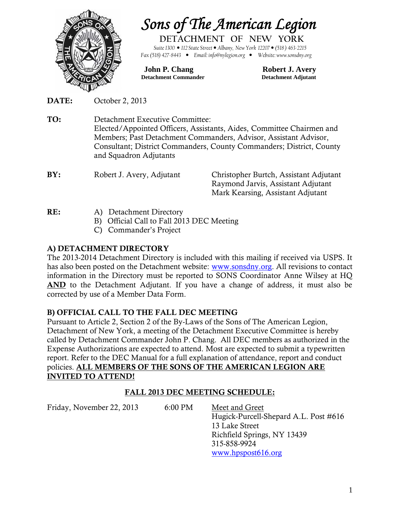

*Sons of The American Legion*

**DETACHMENT OF NEW YORK** *Suite1300 112 State Street Albany, New York 12207 (518 ) 463-2215 Fax (518) 427-8443 Email: info@nylegion.org Website: www.sonsdny.org*

**John P. Chang Robert J. Avery Detachment Commander Detachment Adjutant**

**DATE:** October 2, 2013

**TO:** Detachment Executive Committee: Elected/Appointed Officers, Assistants, Aides, Committee Chairmen and Members; Past Detachment Commanders, Advisor, Assistant Advisor, Consultant; District Commanders, County Commanders; District, County and Squadron Adjutants

| BY: | Robert J. Avery, Adjutant | Christopher Burtch, Assistant Adjutant |
|-----|---------------------------|----------------------------------------|
|     |                           | Raymond Jarvis, Assistant Adjutant     |
|     |                           | Mark Kearsing, Assistant Adjutant      |

- **RE:** A) Detachment Directory
	- B) Official Call to Fall 2013 DEC Meeting
	- C) Commander's Project

# **A) DETACHMENT DIRECTORY**

The 2013-2014 Detachment Directory is included with this mailing if received via USPS. It has also been posted on the Detachment website: www.sonsdny.org. All revisions to contact information in the Directory must be reported to SONS Coordinator Anne Wilsey at HQ **AND** to the Detachment Adjutant. If you have a change of address, it must also be corrected by use of a Member Data Form.

# **B) OFFICIAL CALL TO THE FALL DEC MEETING**

Pursuant to Article 2, Section 2 of the By-Laws of the Sons of The American Legion, Detachment of New York, a meeting of the Detachment Executive Committee is hereby called by Detachment Commander John P. Chang. All DEC members as authorized in the Expense Authorizations are expected to attend. Most are expected to submit a typewritten report. Refer to the DEC Manual for a full explanation of attendance, report and conduct policies. **ALL MEMBERS OF THE SONS OF THE AMERICAN LEGION ARE INVITED TO ATTEND!**

# **FALL 2013 DEC MEETING SCHEDULE:**

Friday, November 22, 2013 6:00 PM Meet and Greet

Hugick-Purcell-Shepard A.L. Post #616 13 Lake Street Richfield Springs, NY 13439 315-858-9924 www.hpspost616.org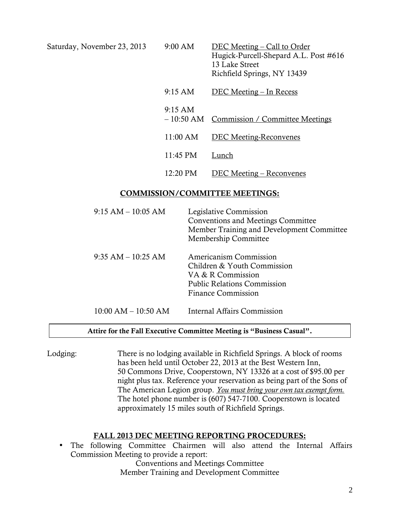| Saturday, November 23, 2013 | $9:00$ AM         | DEC Meeting – Call to Order<br>Hugick-Purcell-Shepard A.L. Post #616<br>13 Lake Street<br>Richfield Springs, NY 13439 |
|-----------------------------|-------------------|-----------------------------------------------------------------------------------------------------------------------|
|                             | $9:15 \text{ AM}$ | DEC Meeting – In Recess                                                                                               |
|                             | $9:15$ AM         | - 10:50 AM Commission / Committee Meetings                                                                            |
|                             | 11:00 AM          | <b>DEC Meeting-Reconvenes</b>                                                                                         |
|                             | 11:45 PM          | Lunch                                                                                                                 |
|                             | 12:20 PM          | DEC Meeting – Reconvenes                                                                                              |
|                             |                   |                                                                                                                       |

## **COMMISSION/COMMITTEE MEETINGS:**

| $9:15 AM - 10:05 AM$    | Legislative Commission<br>Conventions and Meetings Committee<br>Member Training and Development Committee<br>Membership Committee             |
|-------------------------|-----------------------------------------------------------------------------------------------------------------------------------------------|
| $9:35$ AM $-10:25$ AM   | Americanism Commission<br>Children & Youth Commission<br>VA & R Commission<br><b>Public Relations Commission</b><br><b>Finance Commission</b> |
| $10:00$ AM $- 10:50$ AM | <b>Internal Affairs Commission</b>                                                                                                            |

#### **Attire for the Fall Executive Committee Meeting is "Business Casual".**

Lodging: There is no lodging available in Richfield Springs. A block of rooms has been held until October 22, 2013 at the Best Western Inn, 50 Commons Drive, Cooperstown, NY 13326 at a cost of \$95.00 per night plus tax. Reference your reservation as being part of the Sons of The American Legion group. *You must bring your own tax exempt form.* The hotel phone number is (607) 547-7100. Cooperstown is located approximately 15 miles south of Richfield Springs.

### **FALL 2013 DEC MEETING REPORTING PROCEDURES:**

 The following Committee Chairmen will also attend the Internal Affairs Commission Meeting to provide a report:

> Conventions and Meetings Committee Member Training and Development Committee